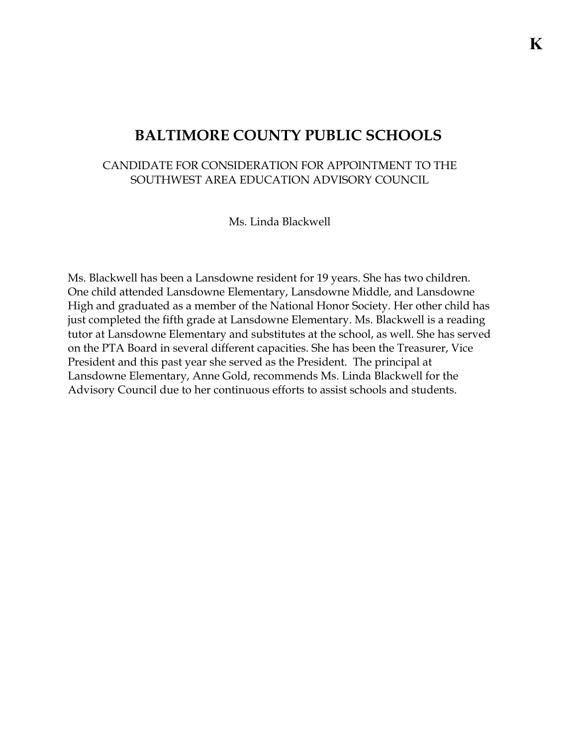## **BALTIMORE COUNTY PUBLIC SCHOOLS**

## CANDIDATE FOR CONSIDERATION FOR APPOINTMENT TO THE SOUTHWEST AREA EDUCATION ADVISORY COUNCIL

Ms. Linda Blackwell

Ms. Blackwell has been a Lansdowne resident for 19 years. She has two children. One child attended Lansdowne Elementary, Lansdowne Middle, and Lansdowne High and graduated as a member of the National Honor Society. Her other child has just completed the fifth grade at Lansdowne Elementary. Ms. Blackwell is a reading tutor at Lansdowne Elementary and substitutes at the school, as well. She has served on the PTA Board in several different capacities. She has been the Treasurer, Vice President and this past year she served as the President. The principal at Lansdowne Elementary, Anne Gold, recommends Ms. Linda Blackwell for the Advisory Council due to her continuous efforts to assist schools and students.